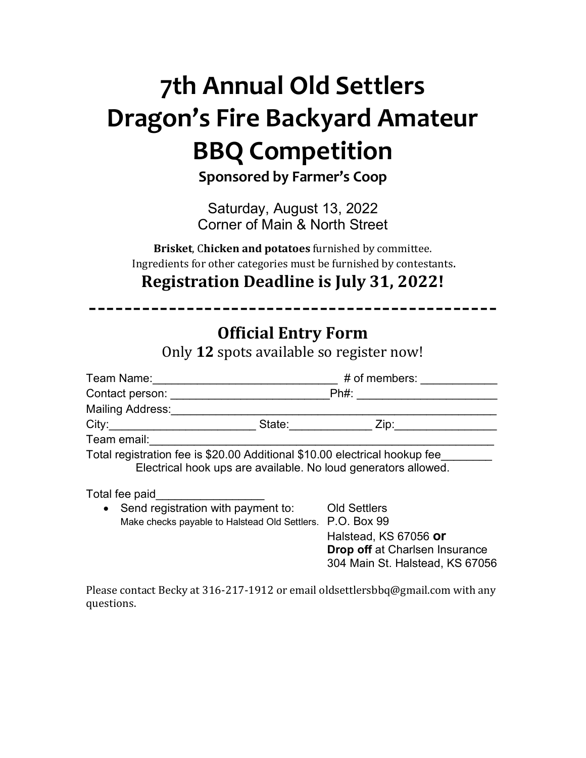# **7th Annual Old Settlers Dragon's Fire Backyard Amateur BBQ Competition**

**Sponsored by Farmer's Coop**

Saturday, August 13, 2022 Corner of Main & North Street

**Brisket, Chicken and potatoes** furnished by committee. Ingredients for other categories must be furnished by contestants.

**Registration Deadline is July 31, 2022!** 

| <b>Official Entry Form</b><br>Only 12 spots available so register now!                                                                                                                                                        |                                                                |
|-------------------------------------------------------------------------------------------------------------------------------------------------------------------------------------------------------------------------------|----------------------------------------------------------------|
|                                                                                                                                                                                                                               |                                                                |
|                                                                                                                                                                                                                               |                                                                |
|                                                                                                                                                                                                                               |                                                                |
| City: City: City: City: City: City: City: City: City: City: City: City: City: City: City: City: City: City: City: City: City: City: City: City: City: City: City: City: City: City: City: City: City: City: City: City: City: |                                                                |
| Team email: Team email:                                                                                                                                                                                                       |                                                                |
| Total registration fee is \$20.00 Additional \$10.00 electrical hookup fee<br>Electrical hook ups are available. No loud generators allowed.                                                                                  |                                                                |
|                                                                                                                                                                                                                               |                                                                |
| • Send registration with payment to: Old Settlers<br>Make checks payable to Halstead Old Settlers. P.O. Box 99                                                                                                                | Halstead, KS 67056 or<br><b>Drop off</b> at Charlsen Insurance |

Please contact Becky at 316-217-1912 or email oldsettlersbbq@gmail.com with any questions. 

304 Main St. Halstead, KS 67056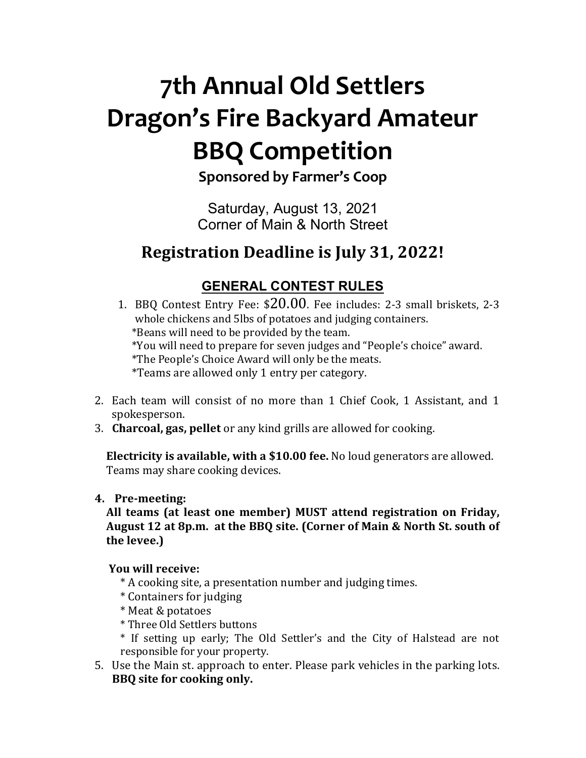# **7th Annual Old Settlers Dragon's Fire Backyard Amateur BBQ Competition**

**Sponsored by Farmer's Coop**

Saturday, August 13, 2021 Corner of Main & North Street

# **Registration Deadline is July 31, 2022!**

## **GENERAL CONTEST RULES**

1. BBQ Contest Entry Fee:  $$20.00$ . Fee includes: 2-3 small briskets, 2-3 whole chickens and 5lbs of potatoes and judging containers. \*Beans will need to be provided by the team. \*You will need to prepare for seven judges and "People's choice" award. \*The People's Choice Award will only be the meats. \*Teams are allowed only 1 entry per category.

- 2. Each team will consist of no more than 1 Chief Cook, 1 Assistant, and 1 spokesperson.
- 3. **Charcoal, gas, pellet** or any kind grills are allowed for cooking.

**Electricity is available, with a \$10.00 fee.** No loud generators are allowed. Teams may share cooking devices.

## **4. Pre-meeting:**

All teams (at least one member) MUST attend registration on Friday, August 12 at 8p.m. at the BBQ site. (Corner of Main & North St. south of **the levee.)**

## **You will receive:**

- \* A cooking site, a presentation number and judging times.
- \* Containers for judging
- \* Meat & potatoes
- \* Three Old Settlers buttons
- \* If setting up early; The Old Settler's and the City of Halstead are not responsible for your property.
- 5. Use the Main st. approach to enter. Please park vehicles in the parking lots. **BBQ** site for cooking only.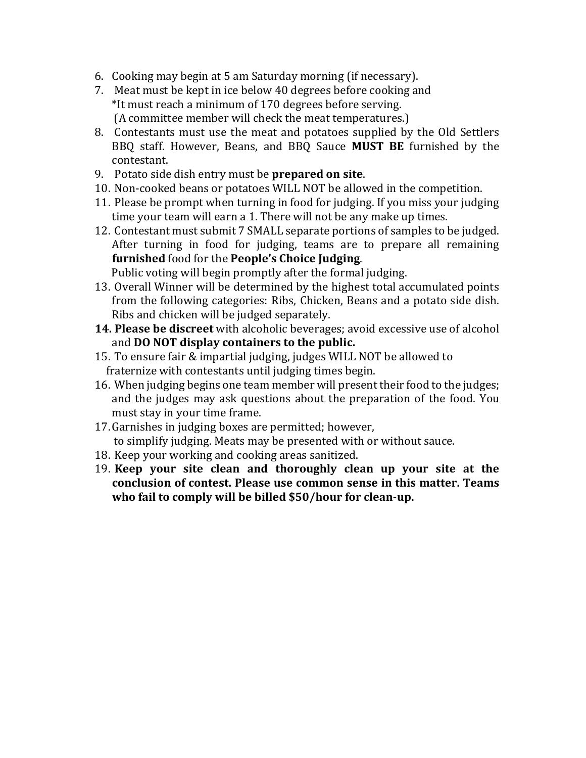- 6. Cooking may begin at 5 am Saturday morning (if necessary).
- 7. Meat must be kept in ice below 40 degrees before cooking and \*It must reach a minimum of 170 degrees before serving. (A committee member will check the meat temperatures.)
- 8. Contestants must use the meat and potatoes supplied by the Old Settlers BBQ staff. However, Beans, and BBQ Sauce **MUST BE** furnished by the contestant.
- 9. Potato side dish entry must be **prepared on site**.
- 10. Non-cooked beans or potatoes WILL NOT be allowed in the competition.
- 11. Please be prompt when turning in food for judging. If you miss your judging time your team will earn a 1. There will not be any make up times.
- 12. Contestant must submit 7 SMALL separate portions of samples to be judged. After turning in food for judging, teams are to prepare all remaining furnished food for the **People's Choice Judging**.

Public voting will begin promptly after the formal judging.

- 13. Overall Winner will be determined by the highest total accumulated points from the following categories: Ribs, Chicken, Beans and a potato side dish. Ribs and chicken will be judged separately.
- **14. Please be discreet** with alcoholic beverages; avoid excessive use of alcohol and DO NOT display containers to the public.
- 15. To ensure fair & impartial judging, judges WILL NOT be allowed to fraternize with contestants until judging times begin.
- 16. When judging begins one team member will present their food to the judges; and the judges may ask questions about the preparation of the food. You must stay in your time frame.
- 17. Garnishes in judging boxes are permitted; however, to simplify judging. Meats may be presented with or without sauce.
- 18. Keep your working and cooking areas sanitized.
- 19. **Keep** your site clean and thoroughly clean up your site at the conclusion of contest. Please use common sense in this matter. Teams who fail to comply will be billed \$50/hour for clean-up.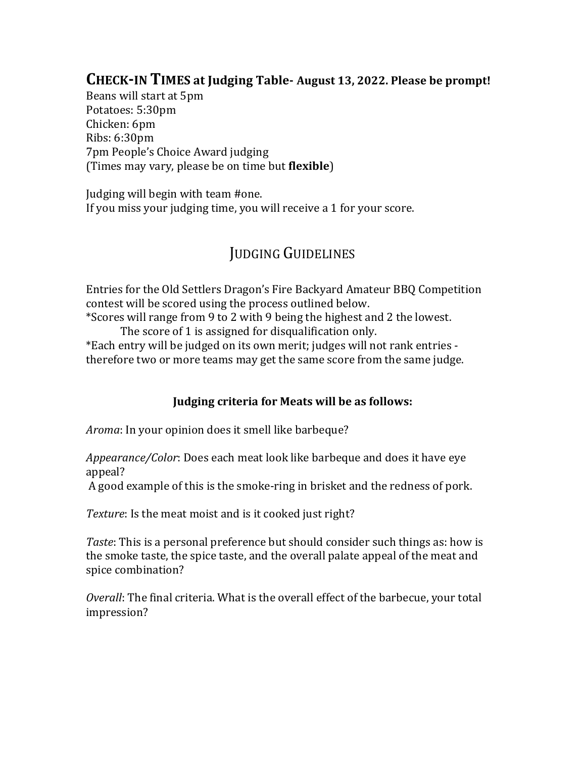## **CHECK-IN TIMES at Judging Table-August 13, 2022. Please be prompt!**

Beans will start at 5pm Potatoes: 5:30pm Chicken: 6pm Ribs: 6:30pm 7pm People's Choice Award judging (Times may vary, please be on time but **flexible**)

Judging will begin with team #one. If you miss your judging time, you will receive a  $1$  for your score.

## **JUDGING GUIDELINES**

Entries for the Old Settlers Dragon's Fire Backyard Amateur BBQ Competition contest will be scored using the process outlined below.

\*Scores will range from 9 to 2 with 9 being the highest and 2 the lowest. The score of 1 is assigned for disqualification only.

\*Each entry will be judged on its own merit; judges will not rank entries therefore two or more teams may get the same score from the same judge.

## **Judging criteria for Meats will be as follows:**

*Aroma*: In your opinion does it smell like barbeque?

Appearance/Color: Does each meat look like barbeque and does it have eye appeal?

A good example of this is the smoke-ring in brisket and the redness of pork.

*Texture*: Is the meat moist and is it cooked just right?

*Taste*: This is a personal preference but should consider such things as: how is the smoke taste, the spice taste, and the overall palate appeal of the meat and spice combination?

*Overall*: The final criteria. What is the overall effect of the barbecue, your total impression?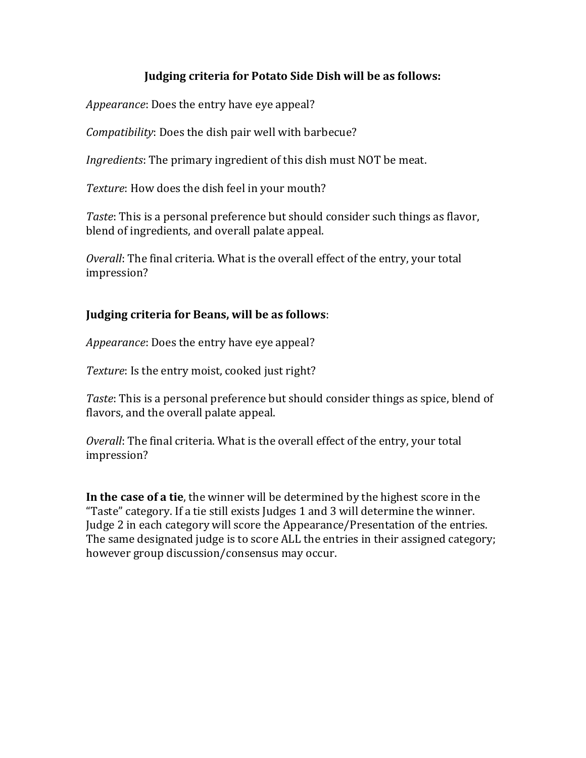#### **Judging criteria for Potato Side Dish will be as follows:**

*Appearance*: Does the entry have eye appeal?

*Compatibility*: Does the dish pair well with barbecue?

*Ingredients*: The primary ingredient of this dish must NOT be meat.

Texture: How does the dish feel in your mouth?

*Taste*: This is a personal preference but should consider such things as flavor, blend of ingredients, and overall palate appeal.

*Overall*: The final criteria. What is the overall effect of the entry, your total impression?

## **Judging criteria for Beans, will be as follows:**

*Appearance*: Does the entry have eye appeal?

*Texture*: Is the entry moist, cooked just right?

*Taste*: This is a personal preference but should consider things as spice, blend of flavors, and the overall palate appeal.

*Overall*: The final criteria. What is the overall effect of the entry, your total impression? 

**In the case of a tie**, the winner will be determined by the highest score in the "Taste" category. If a tie still exists Judges 1 and 3 will determine the winner. Judge 2 in each category will score the Appearance/Presentation of the entries. The same designated judge is to score ALL the entries in their assigned category; however group discussion/consensus may occur.